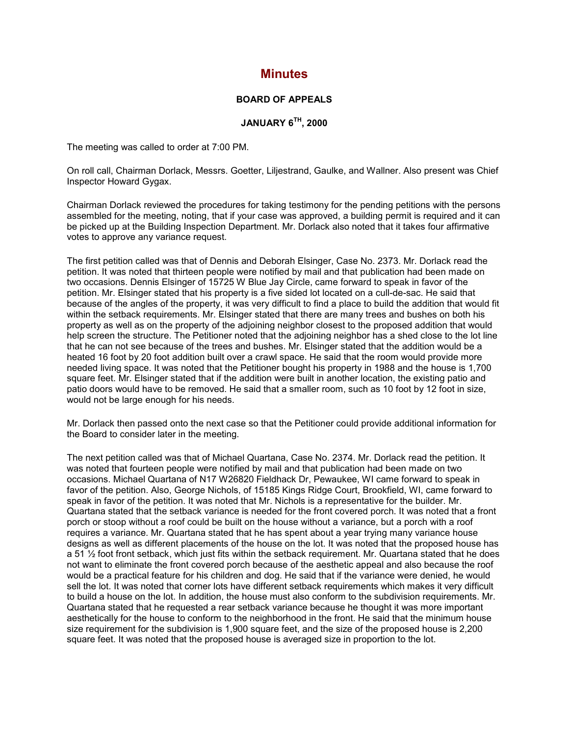## **Minutes**

## **BOARD OF APPEALS**

## **JANUARY 6TH, 2000**

The meeting was called to order at 7:00 PM.

On roll call, Chairman Dorlack, Messrs. Goetter, Liljestrand, Gaulke, and Wallner. Also present was Chief Inspector Howard Gygax.

Chairman Dorlack reviewed the procedures for taking testimony for the pending petitions with the persons assembled for the meeting, noting, that if your case was approved, a building permit is required and it can be picked up at the Building Inspection Department. Mr. Dorlack also noted that it takes four affirmative votes to approve any variance request.

The first petition called was that of Dennis and Deborah Elsinger, Case No. 2373. Mr. Dorlack read the petition. It was noted that thirteen people were notified by mail and that publication had been made on two occasions. Dennis Elsinger of 15725 W Blue Jay Circle, came forward to speak in favor of the petition. Mr. Elsinger stated that his property is a five sided lot located on a cull-de-sac. He said that because of the angles of the property, it was very difficult to find a place to build the addition that would fit within the setback requirements. Mr. Elsinger stated that there are many trees and bushes on both his property as well as on the property of the adjoining neighbor closest to the proposed addition that would help screen the structure. The Petitioner noted that the adjoining neighbor has a shed close to the lot line that he can not see because of the trees and bushes. Mr. Elsinger stated that the addition would be a heated 16 foot by 20 foot addition built over a crawl space. He said that the room would provide more needed living space. It was noted that the Petitioner bought his property in 1988 and the house is 1,700 square feet. Mr. Elsinger stated that if the addition were built in another location, the existing patio and patio doors would have to be removed. He said that a smaller room, such as 10 foot by 12 foot in size, would not be large enough for his needs.

Mr. Dorlack then passed onto the next case so that the Petitioner could provide additional information for the Board to consider later in the meeting.

The next petition called was that of Michael Quartana, Case No. 2374. Mr. Dorlack read the petition. It was noted that fourteen people were notified by mail and that publication had been made on two occasions. Michael Quartana of N17 W26820 Fieldhack Dr, Pewaukee, WI came forward to speak in favor of the petition. Also, George Nichols, of 15185 Kings Ridge Court, Brookfield, WI, came forward to speak in favor of the petition. It was noted that Mr. Nichols is a representative for the builder. Mr. Quartana stated that the setback variance is needed for the front covered porch. It was noted that a front porch or stoop without a roof could be built on the house without a variance, but a porch with a roof requires a variance. Mr. Quartana stated that he has spent about a year trying many variance house designs as well as different placements of the house on the lot. It was noted that the proposed house has a 51 ½ foot front setback, which just fits within the setback requirement. Mr. Quartana stated that he does not want to eliminate the front covered porch because of the aesthetic appeal and also because the roof would be a practical feature for his children and dog. He said that if the variance were denied, he would sell the lot. It was noted that corner lots have different setback requirements which makes it very difficult to build a house on the lot. In addition, the house must also conform to the subdivision requirements. Mr. Quartana stated that he requested a rear setback variance because he thought it was more important aesthetically for the house to conform to the neighborhood in the front. He said that the minimum house size requirement for the subdivision is 1,900 square feet, and the size of the proposed house is 2,200 square feet. It was noted that the proposed house is averaged size in proportion to the lot.